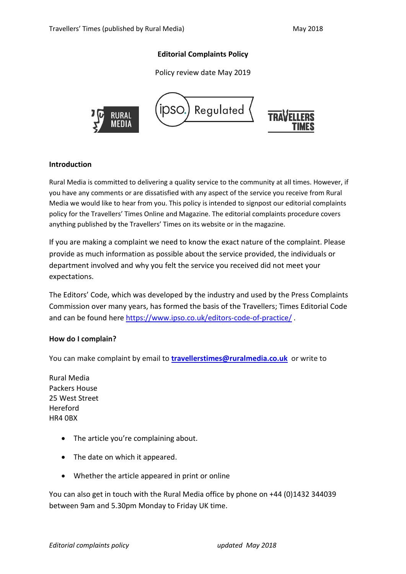# **Editorial Complaints Policy**

Policy review date May 2019



### **Introduction**

Rural Media is committed to delivering a quality service to the community at all times. However, if you have any comments or are dissatisfied with any aspect of the service you receive from Rural Media we would like to hear from you. This policy is intended to signpost our editorial complaints policy for the Travellers' Times Online and Magazine. The editorial complaints procedure covers anything published by the Travellers' Times on its website or in the magazine.

If you are making a complaint we need to know the exact nature of the complaint. Please provide as much information as possible about the service provided, the individuals or department involved and why you felt the service you received did not meet your expectations.

The Editors' Code, which was developed by the industry and used by the Press Complaints Commission over many years, has formed the basis of the Travellers; Times Editorial Code and can be found her[e https://www.ipso.co.uk/editors-code-of-practice/](https://www.ipso.co.uk/editors-code-of-practice/).

#### **How do I complain?**

You can make complaint by email to **[travellerstimes@ruralmedia.co.uk](mailto:travellerstimes@ruralmedia.co.uk)** or write to

Rural Media Packers House 25 West Street Hereford HR4 0BX

- The article you're complaining about.
- The date on which it appeared.
- Whether the article appeared in print or online

You can also get in touch with the Rural Media office by phone on +44 (0)1432 344039 between 9am and 5.30pm Monday to Friday UK time.